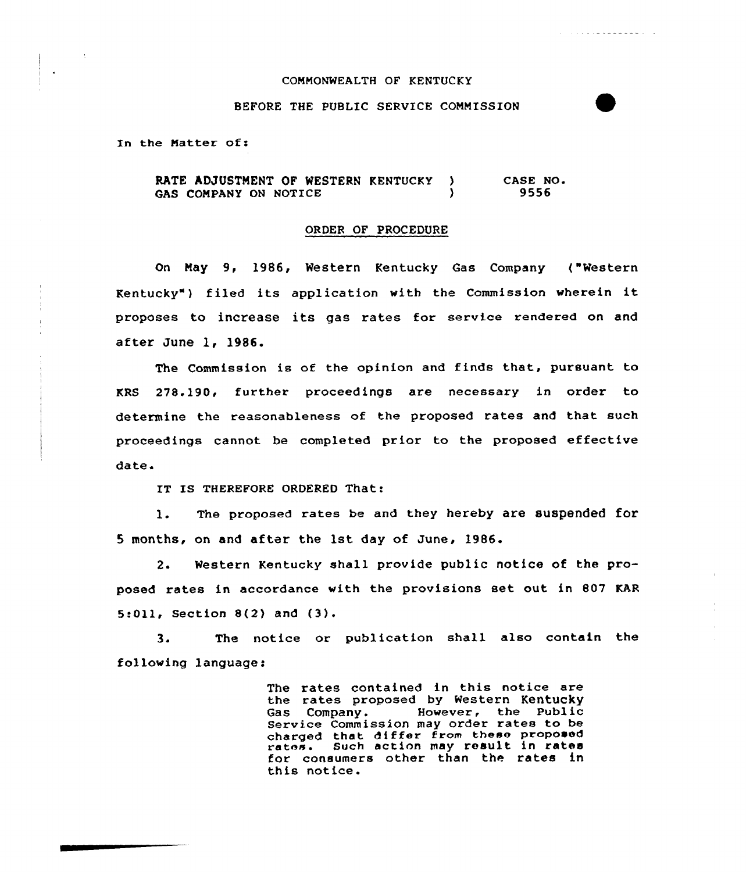## COMMONWEALTH OF KENTUCKY

. . . **. . . . . . . . . .** . . .

# BEFORE THE PUBLIC SERVICE COMMISSION

In the Matter of:

RATE ADJUSTMENT OF WESTERN KENTUCKY )<br>CAS COMPANY ON NOTICE GAS COMPANY ON NOTICE CASE NO. 9556

#### ORDER OF PROCEDURE

On May 9, 1986, Western Kentucky Gas Company ("Western Kentucky" ) filed its application with the Commission wherein it proposes to increase its gas rates for service rendered on and after June 1, 1986.

The Commission is of the opinion and finds that, pursuant to KRS 278.190, further proceedings are necessary in order to determine the reasonableness of the proposed rates and that such proceedings cannot be completed prior to the proposed effective date.

IT IS THEREFORE ORDERED That:

1. The proposed rates be and they hereby are suspended for 5 months, on and after the 1st day of June, 1986.

2. Western Kentucky shall provide public notice of the proposed rates in accordance with the provisions set out in 807 KAR 5:Oll, Section 8(2} and (3).

3. The notice or publication shall also contain the following language:

> The rates contained in this notice are the rates proposed by Western Kentucky However, the Public Service Commission may order rates to be charged that differ from these proposed rates. Such action may result in rates for consumers other than the rates in this notice.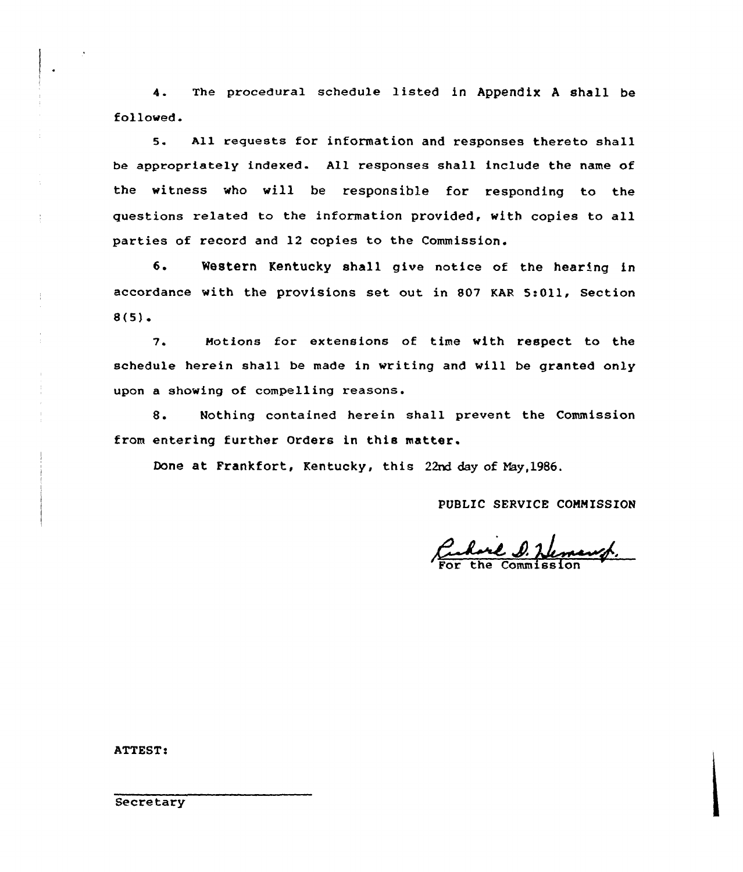The procedural schedule listed in Appendix <sup>A</sup> shall be  $\Delta$ . followed.

5. All requests for information and responses thereto shall be appropriately indexed. All responses shall include the name of the witness who will be responsible for responding to the questions related to the information provided, with copies to all parties of record and 12 copies to the Commission.

6. Western Kentucky shall give notice of the hearing in accordance with the provisions set out in S07 KAR 5:011, Section  $8(5)$ .

7. Motions for extensions of time with respect to the schedule herein shall be made in writing and will be granted only upon a showing of compelling reasons.

8. Nothing contained herein shall prevent the Commission from entering further Orders in this matter.

Done at Frankfort, Kentucky, this 22nd day of May, 1986.

PUBLIC SERVICE CONNISSION

Cubare D. Hemang.

ATTEST:

 $\frac{1}{2}$ 

**Secretary**